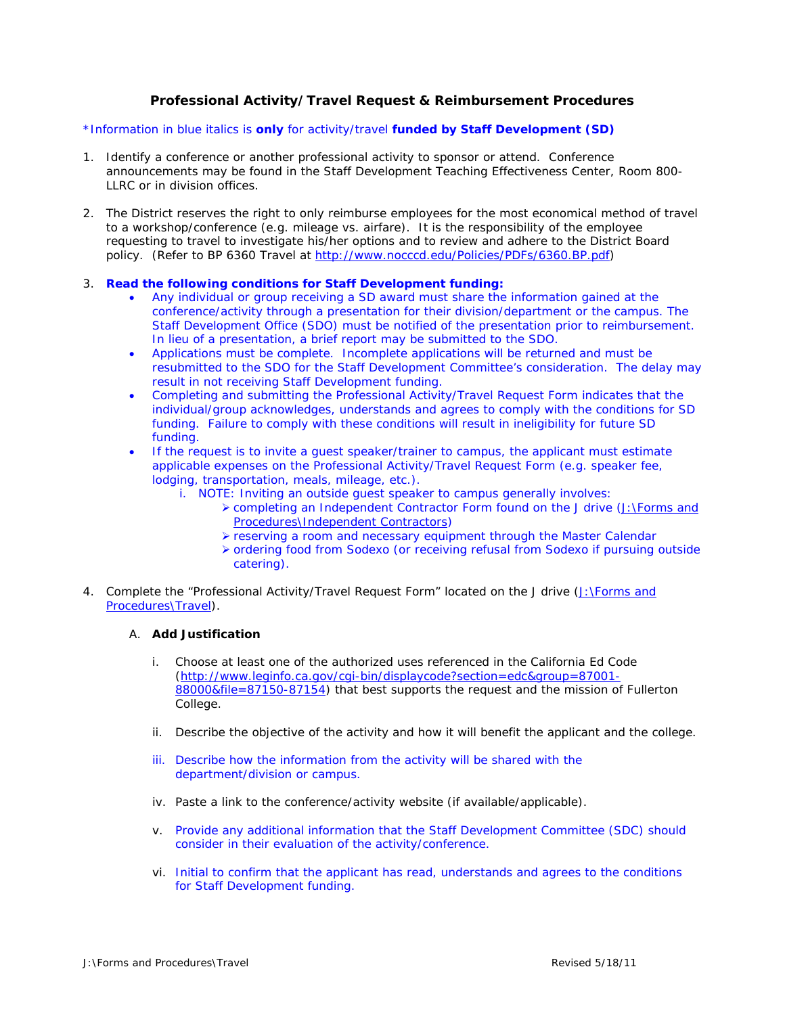## **Professional Activity/Travel Request & Reimbursement Procedures**

## *\*Information in blue italics is only for activity/travel funded by Staff Development (SD)*

- 1. Identify a conference or another professional activity to sponsor or attend. Conference announcements may be found in the Staff Development Teaching Effectiveness Center, Room 800- LLRC or in division offices.
- 2. The District reserves the right to only reimburse employees for the most economical method of travel to a workshop/conference (e.g. mileage vs. airfare). It is the responsibility of the employee requesting to travel to investigate his/her options and to review and adhere to the District Board policy. (Refer to BP 6360 Travel at [http://www.nocccd.edu/Policies/PDFs/6360.BP.pdf\)](http://www.nocccd.edu/Policies/PDFs/6360.BP.pdf)

## *3. Read the following conditions for Staff Development funding:*

- *Any individual or group receiving a SD award must share the information gained at the conference/activity through a presentation for their division/department or the campus. The Staff Development Office (SDO) must be notified of the presentation prior to reimbursement. In lieu of a presentation, a brief report may be submitted to the SDO.*
- *Applications must be complete. Incomplete applications will be returned and must be resubmitted to the SDO for the Staff Development Committee's consideration. The delay may result in not receiving Staff Development funding.*
- *Completing and submitting the Professional Activity/Travel Request Form indicates that the individual/group acknowledges, understands and agrees to comply with the conditions for SD funding. Failure to comply with these conditions will result in ineligibility for future SD funding.*
- *If the request is to invite a guest speaker/trainer to campus, the applicant must estimate applicable expenses on the Professional Activity/Travel Request Form (e.g. speaker fee, lodging, transportation, meals, mileage, etc.).* 
	- *i. NOTE: Inviting an outside guest speaker to campus generally involves:* 
		- ¾ *completing an Independent Contractor Form found on the J drive (J:\Forms and Procedures\Independent Contractors)*
		- ¾ *reserving a room and necessary equipment through the Master Calendar*
		- ¾ *ordering food from Sodexo (or receiving refusal from Sodexo if pursuing outside catering).*
- 4. Complete the "Professional Activity/Travel Request Form" located on the J drive (J:\Forms and Procedures\Travel).

## A. **Add Justification**

- i. Choose at least one of the authorized uses referenced in the California Ed Code ([http://www.leginfo.ca.gov/cgi-bin/displaycode?section=edc&group=87001-](http://www.leginfo.ca.gov/cgi-bin/displaycode?section=edc&group=87001-88000&file=87150-87154) [88000&file=87150-87154](http://www.leginfo.ca.gov/cgi-bin/displaycode?section=edc&group=87001-88000&file=87150-87154)) that best supports the request and the mission of Fullerton College.
- ii. Describe the objective of the activity and how it will benefit the applicant and the college.
- *iii. Describe how the information from the activity will be shared with the department/division or campus.*
- iv. Paste a link to the conference/activity website (if available/applicable).
- *v. Provide any additional information that the Staff Development Committee (SDC) should consider in their evaluation of the activity/conference.*
- *vi. Initial to confirm that the applicant has read, understands and agrees to the conditions for Staff Development funding.*